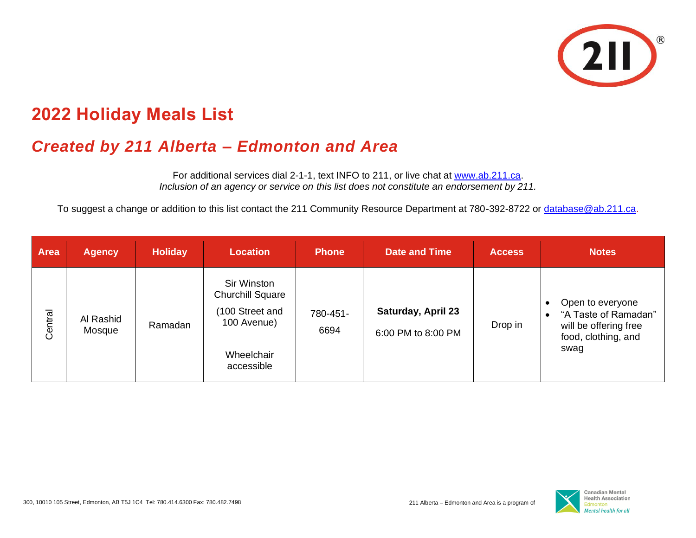

## **2022 Holiday Meals List**

## *Created by 211 Alberta – Edmonton and Area*

For additional services dial 2-1-1, text INFO to 211, or live chat at [www.ab.211.ca.](https://ab.211.ca/) *Inclusion of an agency or service on this list does not constitute an endorsement by 211.*

To suggest a change or addition to this list contact the 211 Community Resource Department at 780-392-8722 or [database@ab.211.ca.](mailto:database@ab.211.ca)

| <b>Area</b> | <b>Agency</b>       | <b>Holiday</b> | <b>Location</b>                                                                                      | <b>Phone</b>     | <b>Date and Time</b>                            | <b>Access</b> | <b>Notes</b>                                                                                     |
|-------------|---------------------|----------------|------------------------------------------------------------------------------------------------------|------------------|-------------------------------------------------|---------------|--------------------------------------------------------------------------------------------------|
| Central     | Al Rashid<br>Mosque | Ramadan        | Sir Winston<br><b>Churchill Square</b><br>(100 Street and<br>100 Avenue)<br>Wheelchair<br>accessible | 780-451-<br>6694 | <b>Saturday, April 23</b><br>6:00 PM to 8:00 PM | Drop in       | Open to everyone<br>"A Taste of Ramadan"<br>will be offering free<br>food, clothing, and<br>swag |